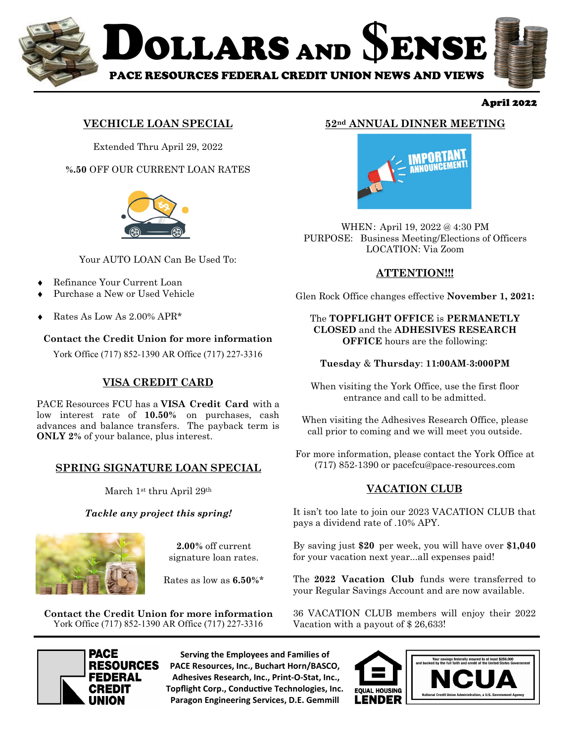

#### April 2022

## **VECHICLE LOAN SPECIAL**

Extended Thru April 29, 2022

**%.50** OFF OUR CURRENT LOAN RATES



Your AUTO LOAN Can Be Used To:

- Refinance Your Current Loan
- Purchase a New or Used Vehicle
- Rates As Low As  $2.00\%$  APR\*

### **Contact the Credit Union for more information**

York Office (717) 852-1390 AR Office (717) 227-3316

## **VISA CREDIT CARD**

PACE Resources FCU has a **VISA Credit Card** with a low interest rate of **10.50%** on purchases, cash advances and balance transfers. The payback term is **ONLY 2%** of your balance, plus interest.

### **SPRING SIGNATURE LOAN SPECIAL**

March 1st thru April 29th

### *Tackle any project this spring!*



**2.00%** off current signature loan rates.

Rates as low as **6.50%**\*

**Contact the Credit Union for more information**  York Office (717) 852-1390 AR Office (717) 227-3316



**Serving the Employees and Families of PACE Resources, Inc., Buchart Horn/BASCO, Adhesives Research, Inc., Print-O-Stat, Inc., Topflight Corp., Conductive Technologies, Inc. Paragon Engineering Services, D.E. Gemmill**

## **52nd ANNUAL DINNER MEETING**



WHEN : April 19, 2022 @ 4:30 PM PURPOSE: Business Meeting/Elections of Officers LOCATION: Via Zoom

## **ATTENTION!!!**

Glen Rock Office changes effective **November 1, 2021:** 

#### The **TOPFLIGHT OFFICE** is **PERMANETLY CLOSED** and the **ADHESIVES RESEARCH OFFICE** hours are the following:

### **Tuesday** & **Thursday**: **11:00AM**-**3:000PM**

When visiting the York Office, use the first floor entrance and call to be admitted.

When visiting the Adhesives Research Office, please call prior to coming and we will meet you outside.

For more information, please contact the York Office at (717) 852-1390 or pacefcu@pace-resources.com

## **VACATION CLUB**

It isn't too late to join our 2023 VACATION CLUB that pays a dividend rate of .10% APY.

By saving just **\$20** per week, you will have over **\$1,040** for your vacation next year...all expenses paid!

The **2022 Vacation Club** funds were transferred to your Regular Savings Account and are now available.

36 VACATION CLUB members will enjoy their 2022 Vacation with a payout of \$ 26,633!